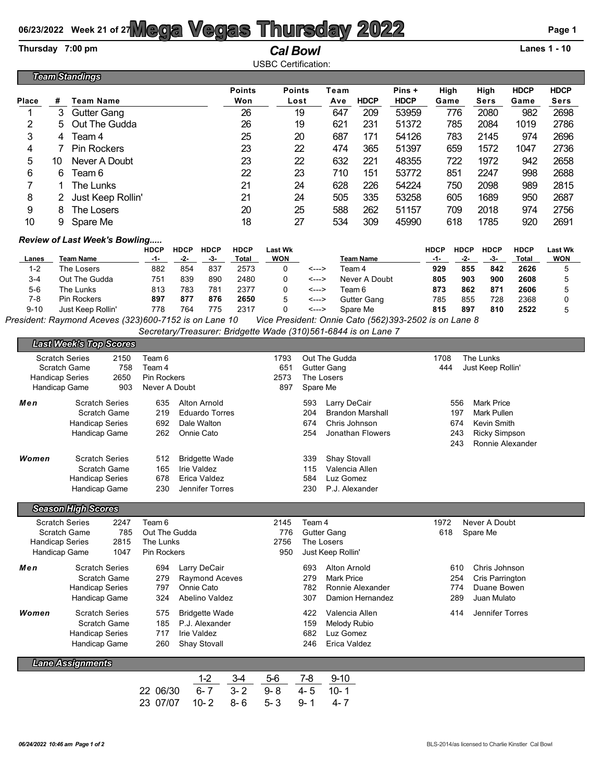## 06/23/2022 Week 21 of 27**Mega Vegas Thursday 2022** Page 1

## **Thursday 7:00 pm** *Cal Bowl* **Lanes 1 - 10**

|                 |                       |                                      |                              |                                  |                                            |                                        | <b>USBC Certification:</b>   |             |             |                       |                              |                                               |                                  |                              |  |
|-----------------|-----------------------|--------------------------------------|------------------------------|----------------------------------|--------------------------------------------|----------------------------------------|------------------------------|-------------|-------------|-----------------------|------------------------------|-----------------------------------------------|----------------------------------|------------------------------|--|
|                 | <b>Team Standings</b> |                                      |                              |                                  |                                            |                                        |                              |             |             |                       |                              |                                               |                                  |                              |  |
| <b>Place</b>    | #                     | Team Name                            |                              |                                  |                                            | <b>Points</b><br>Won                   | <b>Points</b><br>Lost        | Team<br>Ave | <b>HDCP</b> | Pins +<br><b>HDCP</b> | High<br>Game                 | High<br>Sers                                  | <b>HDCP</b><br>Game              | <b>HDCP</b><br>Sers          |  |
|                 | 3.                    | <b>Gutter Gang</b>                   |                              |                                  |                                            | 26                                     | 19                           | 647         | 209         | 53959                 | 776                          | 2080                                          | 982                              | 2698                         |  |
| 2               | 5.                    | Out The Gudda                        |                              |                                  |                                            | 26                                     | 19                           | 621         | 231         | 51372                 | 785                          | 2084                                          | 1019                             | 2786                         |  |
| 3               | 4                     | Team 4                               |                              |                                  |                                            | 25                                     | 20                           | 687         | 171         | 54126                 | 783                          | 2145                                          | 974                              | 2696                         |  |
| 4               |                       | <b>Pin Rockers</b>                   |                              |                                  |                                            | 23                                     | 22                           | 474         | 365         | 51397                 | 659                          | 1572                                          | 1047                             | 2736                         |  |
| 5               | 10                    | Never A Doubt                        |                              |                                  |                                            | 23                                     | 22                           | 632         | 221         | 48355                 | 722                          | 1972                                          | 942                              | 2658                         |  |
| 6               | 6                     | Team 6                               |                              |                                  |                                            | 22                                     | 23                           | 710         | 151         | 53772                 | 851                          | 2247                                          | 998                              | 2688                         |  |
|                 |                       | The Lunks                            |                              |                                  |                                            | 21                                     | 24                           | 628         | 226         | 54224                 | 750                          | 2098                                          | 989                              | 2815                         |  |
| 8               | 2.                    | Just Keep Rollin'                    |                              |                                  |                                            | 21                                     | 24                           | 505         | 335         | 53258                 | 605                          | 1689                                          | 950                              | 2687                         |  |
| 9               | 8                     | The Losers                           |                              |                                  |                                            | 20                                     | 25                           | 588         | 262         | 51157                 | 709                          | 2018                                          | 974                              | 2756                         |  |
| 10              | 9                     | Spare Me                             |                              |                                  |                                            | 18                                     | 27                           | 534         | 309         | 45990                 | 618                          | 1785                                          | 920                              | 2691                         |  |
|                 |                       | <b>Review of Last Week's Bowling</b> |                              |                                  |                                            |                                        |                              |             |             |                       |                              |                                               |                                  |                              |  |
| Lanes<br>$\sim$ |                       | <b>Team Name</b><br>÷. .             | <b>HDCP</b><br>-1-<br>$\sim$ | <b>HDCP</b><br>-2-<br>$\sim$ $-$ | <b>HDCP</b><br>-3-<br>$\sim$ $\sim$ $\sim$ | <b>HDCP</b><br>Total<br>$\sim$ $ \sim$ | <b>Last Wk</b><br><b>WON</b> |             | Team Name   |                       | <b>HDCP</b><br>-1-<br>$\sim$ | <b>HDCP</b><br><b>HDCP</b><br>-2-<br>-3-<br>. | <b>HDCP</b><br>Total<br>$\cdots$ | <b>Last Wk</b><br><b>WON</b> |  |

| Lanes    | Team Name         | -1- |     | -3- | Total              | <b>WON</b> |       | <b>Team Name</b> | -1-  |     |     | Total | <b>WON</b> |
|----------|-------------------|-----|-----|-----|--------------------|------------|-------|------------------|------|-----|-----|-------|------------|
| $1 - 2$  | The Losers        | 882 | 854 | 837 | 2573               |            | <---> | Team 4           | 929  | 855 | 842 | 2626  |            |
| 3-4      | Out The Gudda     | 751 | 839 | 890 | 2480               |            | <---> | Never A Doubt    | 805  | 903 | 900 | 2608  |            |
| $5-6$    | The Lunks         | 813 | 783 | 781 | 2377               |            | <---> | Team 6           | 873  | 862 | 871 | 2606  |            |
| 7-8      | Pin Rockers       | 897 | 877 | 876 | 2650               |            | <---> | Gutter Gang      | 785  | 855 | 728 | 2368  |            |
| $9 - 10$ | Just Keep Rollin' | 778 | 764 | 775 | 2317               |            | <---> | Spare Me         | 815  | 897 | 810 | 2522  |            |
|          | $\sim$ $\sim$     | .   | .   |     | .<br>$\sim$ $\sim$ |            | .     | $\cdots$         | ---- |     |     |       |            |

*President: Raymond Aceves (323)600-7152 is on Lane 10 Vice President: Onnie Cato (562)393-2502 is on Lane 8 Secretary/Treasurer: Bridgette Wade (310)561-6844 is on Lane 7*

|                           | <b>Last Week's Top Scores</b>                                                           |                                                                                                     |                             |                                                                                                              |                                                                                                                                       |  |  |  |  |  |  |  |  |  |
|---------------------------|-----------------------------------------------------------------------------------------|-----------------------------------------------------------------------------------------------------|-----------------------------|--------------------------------------------------------------------------------------------------------------|---------------------------------------------------------------------------------------------------------------------------------------|--|--|--|--|--|--|--|--|--|
| <b>Handicap Series</b>    | <b>Scratch Series</b><br>2150<br>758<br>Scratch Game<br>2650<br>903<br>Handicap Game    | Team 6<br>Team 4<br><b>Pin Rockers</b><br>Never A Doubt                                             | 1793<br>651<br>2573<br>897  | Out The Gudda<br><b>Gutter Gang</b><br>The Losers<br>Spare Me                                                | The Lunks<br>1708<br>444<br>Just Keep Rollin'                                                                                         |  |  |  |  |  |  |  |  |  |
| Men                       | <b>Scratch Series</b><br>Scratch Game<br><b>Handicap Series</b><br>Handicap Game        | Alton Arnold<br>635<br>219<br><b>Eduardo Torres</b><br>692<br>Dale Walton<br>262<br>Onnie Cato      |                             | 593<br>Larry DeCair<br>204<br><b>Brandon Marshall</b><br>Chris Johnson<br>674<br>254<br>Jonathan Flowers     | <b>Mark Price</b><br>556<br>197<br><b>Mark Pullen</b><br>Kevin Smith<br>674<br><b>Ricky Simpson</b><br>243<br>243<br>Ronnie Alexander |  |  |  |  |  |  |  |  |  |
| Women                     | <b>Scratch Series</b><br>Scratch Game<br><b>Handicap Series</b><br>Handicap Game        | 512<br><b>Bridgette Wade</b><br>165<br>Irie Valdez<br>678<br>Erica Valdez<br>230<br>Jennifer Torres |                             | <b>Shay Stovall</b><br>339<br>115<br>Valencia Allen<br>584<br>Luz Gomez<br>230<br>P.J. Alexander             |                                                                                                                                       |  |  |  |  |  |  |  |  |  |
| <b>Season High Scores</b> |                                                                                         |                                                                                                     |                             |                                                                                                              |                                                                                                                                       |  |  |  |  |  |  |  |  |  |
| <b>Handicap Series</b>    | <b>Scratch Series</b><br>2247<br>785<br>Scratch Game<br>2815<br>1047<br>Handicap Game   | Team 6<br>Out The Gudda<br>The Lunks<br>Pin Rockers                                                 | 2145<br>776<br>2756<br>950  | Team 4<br><b>Gutter Gang</b><br>The Losers<br>Just Keep Rollin'                                              | Never A Doubt<br>1972<br>618<br>Spare Me                                                                                              |  |  |  |  |  |  |  |  |  |
| Men                       | <b>Scratch Series</b><br>Scratch Game<br><b>Handicap Series</b><br>Handicap Game        | Larry DeCair<br>694<br>279<br>Raymond Aceves<br>797<br>Onnie Cato<br>324<br>Abelino Valdez          |                             | 693<br><b>Alton Arnold</b><br>279<br><b>Mark Price</b><br>782<br>Ronnie Alexander<br>307<br>Damion Hernandez | 610<br>Chris Johnson<br>254<br>Cris Parrington<br>Duane Bowen<br>774<br>289<br>Juan Mulato                                            |  |  |  |  |  |  |  |  |  |
| Women                     | <b>Scratch Series</b><br><b>Scratch Game</b><br><b>Handicap Series</b><br>Handicap Game | 575<br><b>Bridgette Wade</b><br>185<br>P.J. Alexander<br>717<br>Irie Valdez<br>Shay Stovall<br>260  |                             | 422<br>Valencia Allen<br>159<br>Melody Rubio<br>682<br>Luz Gomez<br>246<br>Erica Valdez                      | 414<br>Jennifer Torres                                                                                                                |  |  |  |  |  |  |  |  |  |
|                           | <b>Lane Assignments</b>                                                                 |                                                                                                     |                             |                                                                                                              |                                                                                                                                       |  |  |  |  |  |  |  |  |  |
|                           |                                                                                         | $1 - 2$<br>$3-4$<br>$6 - 7$<br>$3 - 2$<br>06/30<br>22<br>23 07/07<br>$10 - 2$<br>$8 - 6$            | $5-6$<br>$9 - 8$<br>$5 - 3$ | $7 - 8$<br>$9 - 10$<br>$4 - 5$<br>$10 - 1$<br>$9 - 1$<br>$4 - 7$                                             |                                                                                                                                       |  |  |  |  |  |  |  |  |  |